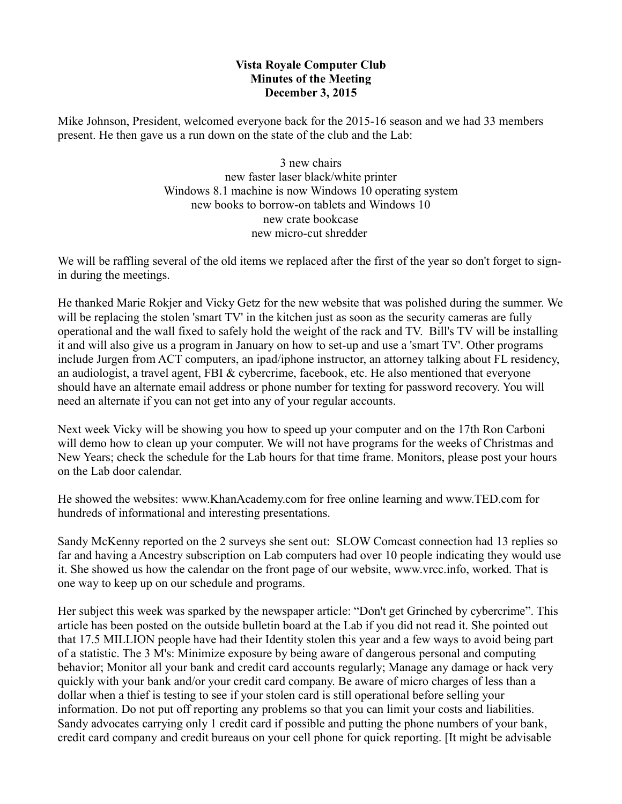## **Vista Royale Computer Club Minutes of the Meeting December 3, 2015**

Mike Johnson, President, welcomed everyone back for the 2015-16 season and we had 33 members present. He then gave us a run down on the state of the club and the Lab:

> 3 new chairs new faster laser black/white printer Windows 8.1 machine is now Windows 10 operating system new books to borrow-on tablets and Windows 10 new crate bookcase new micro-cut shredder

We will be raffling several of the old items we replaced after the first of the year so don't forget to signin during the meetings.

He thanked Marie Rokjer and Vicky Getz for the new website that was polished during the summer. We will be replacing the stolen 'smart TV' in the kitchen just as soon as the security cameras are fully operational and the wall fixed to safely hold the weight of the rack and TV. Bill's TV will be installing it and will also give us a program in January on how to set-up and use a 'smart TV'. Other programs include Jurgen from ACT computers, an ipad/iphone instructor, an attorney talking about FL residency, an audiologist, a travel agent, FBI & cybercrime, facebook, etc. He also mentioned that everyone should have an alternate email address or phone number for texting for password recovery. You will need an alternate if you can not get into any of your regular accounts.

Next week Vicky will be showing you how to speed up your computer and on the 17th Ron Carboni will demo how to clean up your computer. We will not have programs for the weeks of Christmas and New Years; check the schedule for the Lab hours for that time frame. Monitors, please post your hours on the Lab door calendar.

He showed the websites: www.KhanAcademy.com for free online learning and www.TED.com for hundreds of informational and interesting presentations.

Sandy McKenny reported on the 2 surveys she sent out: SLOW Comcast connection had 13 replies so far and having a Ancestry subscription on Lab computers had over 10 people indicating they would use it. She showed us how the calendar on the front page of our website, www.vrcc.info, worked. That is one way to keep up on our schedule and programs.

Her subject this week was sparked by the newspaper article: "Don't get Grinched by cybercrime". This article has been posted on the outside bulletin board at the Lab if you did not read it. She pointed out that 17.5 MILLION people have had their Identity stolen this year and a few ways to avoid being part of a statistic. The 3 M's: Minimize exposure by being aware of dangerous personal and computing behavior; Monitor all your bank and credit card accounts regularly; Manage any damage or hack very quickly with your bank and/or your credit card company. Be aware of micro charges of less than a dollar when a thief is testing to see if your stolen card is still operational before selling your information. Do not put off reporting any problems so that you can limit your costs and liabilities. Sandy advocates carrying only 1 credit card if possible and putting the phone numbers of your bank, credit card company and credit bureaus on your cell phone for quick reporting. [It might be advisable